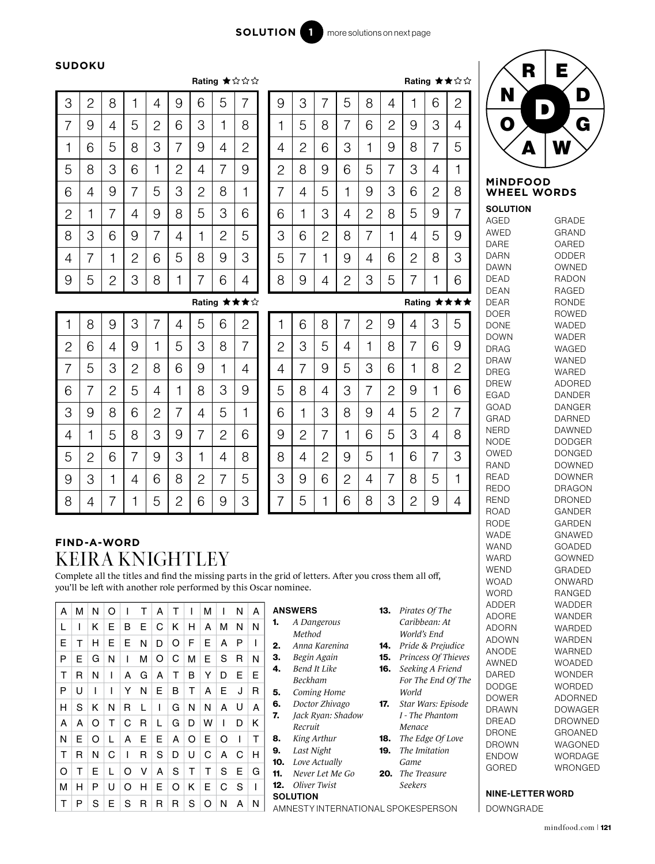$\mathbf{r}$  and  $\mathbf{r}$ 

Rating ★★☆☆

#### **SUDOKU**

|              |                |                |                |                |                |                |                | Rating ★☆☆☆    |
|--------------|----------------|----------------|----------------|----------------|----------------|----------------|----------------|----------------|
| 3            | $\overline{c}$ | 8              | 1              | 4              | 9              | 6              | 5              | 7              |
| 7            | 9              | 4              | 5              | $\overline{c}$ | 6              | 3              | 1              | 8              |
| 1            | 6              | 5              | 8              | 3              | 7              | 9              | 4              | $\overline{2}$ |
| 5            | 8              | 3              | 6              | 1              | $\overline{c}$ | 4              | 7              | 9              |
| 6            | 4              | 9              | 7              | 5              | 3              | $\overline{c}$ | 8              | 1              |
| $\mathbf{2}$ | 1              | 7              | 4              | 9              | 8              | 5              | 3              | 6              |
| 8            | 3              | 6              | 9              | $\overline{7}$ | 4              | 1              | $\overline{c}$ | 5              |
| 4            | 7              | 1              | $\overline{c}$ | 6              | 5              | 8              | 9              | 3              |
| 9            | 5              | $\overline{c}$ | 3              | 8              | 1              | 7              | 6              | 4              |

| 9              | 3              | 7              | 5              | 8              | 4              | 1              | 6              | $\overline{2}$ |
|----------------|----------------|----------------|----------------|----------------|----------------|----------------|----------------|----------------|
| 1              | 5              | 8              | 7              | 6              | $\overline{c}$ | 9              | 3              | 4              |
| 4              | $\overline{c}$ | 6              | 3              | 1              | 9              | 8              | 7              | 5              |
| $\overline{c}$ | 8              | 9              | 6              | 5              | 7              | 3              | 4              | 1              |
| 7              | 4              | 5              | 1              | 9              | 3              | 6              | $\overline{c}$ | 8              |
| 6              | 1              | 3              | 4              | $\overline{c}$ | 8              | 5              | 9              | 7              |
| 3              | 6              | $\overline{c}$ | 8              | 7              | 1              | 4              | 5              | 9              |
| 5              | 7              | 1              | 9              | 4              | 6              | $\overline{2}$ | 8              | 3              |
| 8              | 9              | 4              | $\overline{2}$ | 3              | 5              | 7              | 1              | 6              |
|                |                |                |                |                |                |                |                | Rating ★★★★    |



| 1              | 8              | 9              | 3              | 7              | 4              | 5              | 6              | $\overline{c}$ |
|----------------|----------------|----------------|----------------|----------------|----------------|----------------|----------------|----------------|
| $\overline{c}$ | 6              | 4              | 9              | 1              | 5              | 3              | 8              | 7              |
| 7              | 5              | 3              | $\overline{c}$ | 8              | 6              | 9              | 1              | 4              |
| 6              | 7              | $\overline{2}$ | 5              | 4              | 1              | 8              | 3              | 9              |
| 3              | 9              | 8              | 6              | $\overline{c}$ | 7              | 4              | 5              | 1              |
| 4              | 1              | 5              | 8              | 3              | 9              | 7              | $\overline{c}$ | 6              |
| 5              | $\overline{c}$ | 6              | 7              | 9              | 3              | 1              | 4              | 8              |
| 9              | 3              | 1              | 4              | 6              | 8              | $\overline{c}$ | 7              | 5              |
| 8              | 4              | 7              |                | 5              | $\overline{c}$ | 6              | 9              | 3              |

|                | 6              | 8              | 7              | 2 | 9              | 4              | 3              | 5              |
|----------------|----------------|----------------|----------------|---|----------------|----------------|----------------|----------------|
| $\overline{c}$ | З              | 5              | 4              | 1 | 8              | 7              | 6              | 9              |
| 4              | 7              | 9              | 5              | 3 | 6              | 1              | 8              | $\overline{2}$ |
| 5              | 8              | 4              | 3              | 7 | $\overline{c}$ | 9              | 1              | 6              |
| 6              | 1              | 3              | 8              | 9 | 4              | 5              | $\overline{c}$ | $\overline{7}$ |
| 9              | $\overline{c}$ | 7              | 1              | 6 | 5              | 3              | 4              | 8              |
| 8              | 4              | $\overline{c}$ | 9              | 5 | 1              | 6              | 7              | 3              |
| 3              | 9              | 6              | $\overline{c}$ | 4 | 7              | 8              | 5              | 1              |
|                | 5              | 1              | 6              | 8 | 3              | $\overline{c}$ | 9              | 4              |

# **FIND-A-WORD**

KEIRA KNIGHTLEY

Complete all the titles and find the missing parts in the grid of letters. After you cross them all off, you'll be left with another role performed by this Oscar nominee.

| A<br>Е<br>P<br>т | м<br>т<br>Е<br>$\mathsf{R}$ | N<br>Κ<br>н<br>G<br>N | O<br>Е<br>Е<br>N | B<br>Е<br>A | Ε<br>N<br>м<br>G | A<br>C<br>D<br>$\circ$<br>A | т<br>K<br>O<br>C | H<br>F<br>м<br>B | М<br>A<br>Е<br>E<br>Υ | м<br>A<br>S<br>D | N<br>N<br>P<br>$\mathsf{R}$<br>Е | A<br>N<br>N<br>Е | <b>ANSWERS</b><br>Pirates Of The<br>13.<br>Caribbean: At<br>A Dangerous<br>1.<br>World's End<br>Method<br>Anna Karenina<br>Pride & Prejudice<br>2.<br>14.<br>Princess Of Thieves<br>З.<br>Begin Again<br>15.<br>Seeking A Friend<br>Bend It Like<br>4.<br>16.<br><b>Beckham</b><br>For The End Of The | ADDER<br><b>ADORE</b><br><b>ADORN</b><br><b>ADOWN</b><br><b>ANODE</b><br>AWNED<br><b>DARED</b><br><b>DODGE</b> |
|------------------|-----------------------------|-----------------------|------------------|-------------|------------------|-----------------------------|------------------|------------------|-----------------------|------------------|----------------------------------|------------------|-------------------------------------------------------------------------------------------------------------------------------------------------------------------------------------------------------------------------------------------------------------------------------------------------------|----------------------------------------------------------------------------------------------------------------|
| P                | U                           |                       |                  | Υ           | N                | E                           | B                | т                | A                     | Ε                | J                                | R                | 5.<br>Coming Home<br>World                                                                                                                                                                                                                                                                            | <b>DOWER</b>                                                                                                   |
| н                | S                           | Κ                     | N                | R           | L                |                             | G                | N                | N                     | A                | U                                | A                | Doctor Zhivago<br>Star Wars: Episode<br>6.<br>17.<br>I - The Phantom<br>7.                                                                                                                                                                                                                            | <b>DRAWN</b>                                                                                                   |
| A                | A                           | O                     | т                | C           | R                |                             | G                | D                | W                     |                  | D                                | K                | Jack Ryan: Shadow<br>Recruit<br>Menace                                                                                                                                                                                                                                                                | <b>DREAD</b>                                                                                                   |
| N                | Е                           | O                     |                  | A           | Е                | Е                           | A                | O                | Е                     | O                |                                  | т                | King Arthur<br>The Edge Of Love<br>8.<br>18.                                                                                                                                                                                                                                                          | <b>DRONE</b><br><b>DROWN</b>                                                                                   |
| т                | R                           | N                     | C                |             | R                | S                           | D                | U                | C                     | A                | C                                | H                | The Imitation<br>Last Night<br>9.<br>19.                                                                                                                                                                                                                                                              | <b>ENDOW</b>                                                                                                   |
| O                | т                           | Е                     |                  | $\Omega$    | v                | A                           | S                | T                | т                     | S                | Е                                | G                | 10.<br>Love Actually<br>Game<br>11.<br>Never Let Me Go<br>The Treasure<br>20.                                                                                                                                                                                                                         | <b>GORED</b>                                                                                                   |
| М                | н                           | P                     | U                | O           | H                | Е                           | O                | K                | E                     | C                | S                                |                  | Oliver Twist<br><b>Seekers</b><br>12.                                                                                                                                                                                                                                                                 |                                                                                                                |
|                  | P                           | S                     | Е                | S           | R                | R                           | R                | S                | O                     | N                | A                                | N                | <b>SOLUTION</b><br>AMNESTY INTERNATIONAL SPOKESPERSON                                                                                                                                                                                                                                                 | <b>NINE-LETTEF</b><br><b>DOWNGRADE</b>                                                                         |

| <b>ANSWERS</b> |  |
|----------------|--|
|                |  |

- 1. *A Dangerous Method*
- 2. *Anna Karenina* 3. *Begin Again*
- 4. *Bend It Like*
- *Beckham*
- 5. *Coming Home*
- 6. *Doctor Zhivago* 7. *Jack Ryan: Shadow*
- *Recruit*
- 8. *King Arthur*
- 9. *Last Night*
- 10. *Love Actually*
- 11. *Never Let Me Go*
- 12. *Oliver Twist*
- **SOLUTION**
- 13. *Pirates Of The Caribbean: At World's End*
- 14. *Pride & Prejudice*
- 15. *Princess Of Thieves* 16. *Seeking A Friend*
- *For The End Of The World*
- 17. *Star Wars: Episode I - The Phantom Menace*
- 18. *The Edge Of Love* 19. *The Imitation*
- *Game* 20. *The Treasure*
- *Seekers*



### **MiNDFOOD WHEEL WORDS**

**SOLUTION** AGED AWED DARE DARN DAWN DEAD DEAN DEAR DOER DONE DOWN DRAG DRAW DREG DREW EGAD GOAD GRAD **NERD** NODE OWED RAND READ REDO REND ROAD RODE WADE WAND WARD WEND WOAD WORD ADDER ADORE ADORN ADOWN ANODE AWNED DARED DODGE DOWER DRAWN DREAD DRONE DROWN ENDOW GORED GRADE GRAND OARED ODDER OWNED RADON RAGED RONDE ROWED WADED WADER WAGED WANED WARED ADORED DANDER DANGER DARNED DAWNED DODGER DONGED DOWNED DOWNER DRAGON DRONED GANDER GARDEN GNAWED GOADED GOWNED GRADED ONWARD RANGED WADDER WANDER WARDED WARDEN WARNED WOADED WONDER **WORDED** ADORNED DOWAGER DROWNED GROANED WAGONED WORDAGE WRONGED

### NINE-LETTER WORD